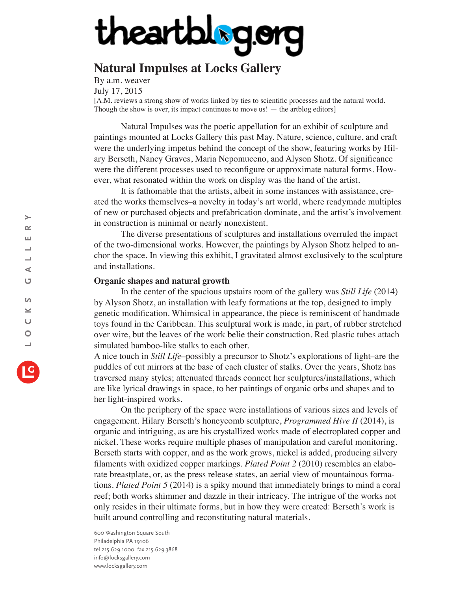## theartblog.org

## **Natural Impulses at Locks Gallery**

By a.m. weaver July 17, 2015

[A.M. reviews a strong show of works linked by ties to scientific processes and the natural world. Though the show is over, its impact continues to move us! — the artblog editors]

Natural Impulses was the poetic appellation for an exhibit of sculpture and paintings mounted at Locks Gallery this past May. Nature, science, culture, and craft were the underlying impetus behind the concept of the show, featuring works by Hilary Berseth, Nancy Graves, Maria Nepomuceno, and Alyson Shotz. Of significance were the different processes used to reconfigure or approximate natural forms. However, what resonated within the work on display was the hand of the artist.

It is fathomable that the artists, albeit in some instances with assistance, created the works themselves–a novelty in today's art world, where readymade multiples of new or purchased objects and prefabrication dominate, and the artist's involvement in construction is minimal or nearly nonexistent.

The diverse presentations of sculptures and installations overruled the impact of the two-dimensional works. However, the paintings by Alyson Shotz helped to anchor the space. In viewing this exhibit, I gravitated almost exclusively to the sculpture and installations.

## **Organic shapes and natural growth**

In the center of the spacious upstairs room of the gallery was *Still Life* (2014) by Alyson Shotz, an installation with leafy formations at the top, designed to imply genetic modification. Whimsical in appearance, the piece is reminiscent of handmade toys found in the Caribbean. This sculptural work is made, in part, of rubber stretched over wire, but the leaves of the work belie their construction. Red plastic tubes attach simulated bamboo-like stalks to each other.

A nice touch in *Still Life*–possibly a precursor to Shotz's explorations of light–are the puddles of cut mirrors at the base of each cluster of stalks. Over the years, Shotz has traversed many styles; attenuated threads connect her sculptures/installations, which are like lyrical drawings in space, to her paintings of organic orbs and shapes and to her light-inspired works.

On the periphery of the space were installations of various sizes and levels of engagement. Hilary Berseth's honeycomb sculpture, *Programmed Hive II* (2014), is organic and intriguing, as are his crystallized works made of electroplated copper and nickel. These works require multiple phases of manipulation and careful monitoring. Berseth starts with copper, and as the work grows, nickel is added, producing silvery filaments with oxidized copper markings. *Plated Point 2* (2010) resembles an elaborate breastplate, or, as the press release states, an aerial view of mountainous formations. *Plated Point 5* (2014) is a spiky mound that immediately brings to mind a coral reef; both works shimmer and dazzle in their intricacy. The intrigue of the works not only resides in their ultimate forms, but in how they were created: Berseth's work is built around controlling and reconstituting natural materials.

600 Washington Square South Philadelphia PA 19106 tel 215.629.1000 fax 215.629.3868 info@locksgallery.com www.locksgallery.com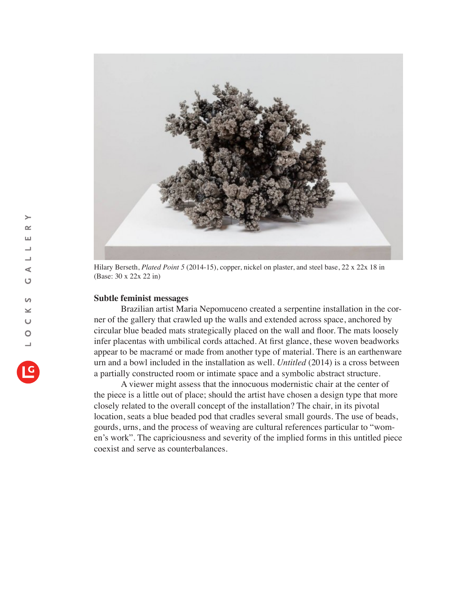

Hilary Berseth, *Plated Point 5* (2014-15), copper, nickel on plaster, and steel base, 22 x 22x 18 in (Base: 30 x 22x 22 in)

## **Subtle feminist messages**

Brazilian artist Maria Nepomuceno created a serpentine installation in the corner of the gallery that crawled up the walls and extended across space, anchored by circular blue beaded mats strategically placed on the wall and floor. The mats loosely infer placentas with umbilical cords attached. At first glance, these woven beadworks appear to be macramé or made from another type of material. There is an earthenware urn and a bowl included in the installation as well. *Untitled* (2014) is a cross between a partially constructed room or intimate space and a symbolic abstract structure.

A viewer might assess that the innocuous modernistic chair at the center of the piece is a little out of place; should the artist have chosen a design type that more closely related to the overall concept of the installation? The chair, in its pivotal location, seats a blue beaded pod that cradles several small gourds. The use of beads, gourds, urns, and the process of weaving are cultural references particular to "women's work". The capriciousness and severity of the implied forms in this untitled piece coexist and serve as counterbalances.